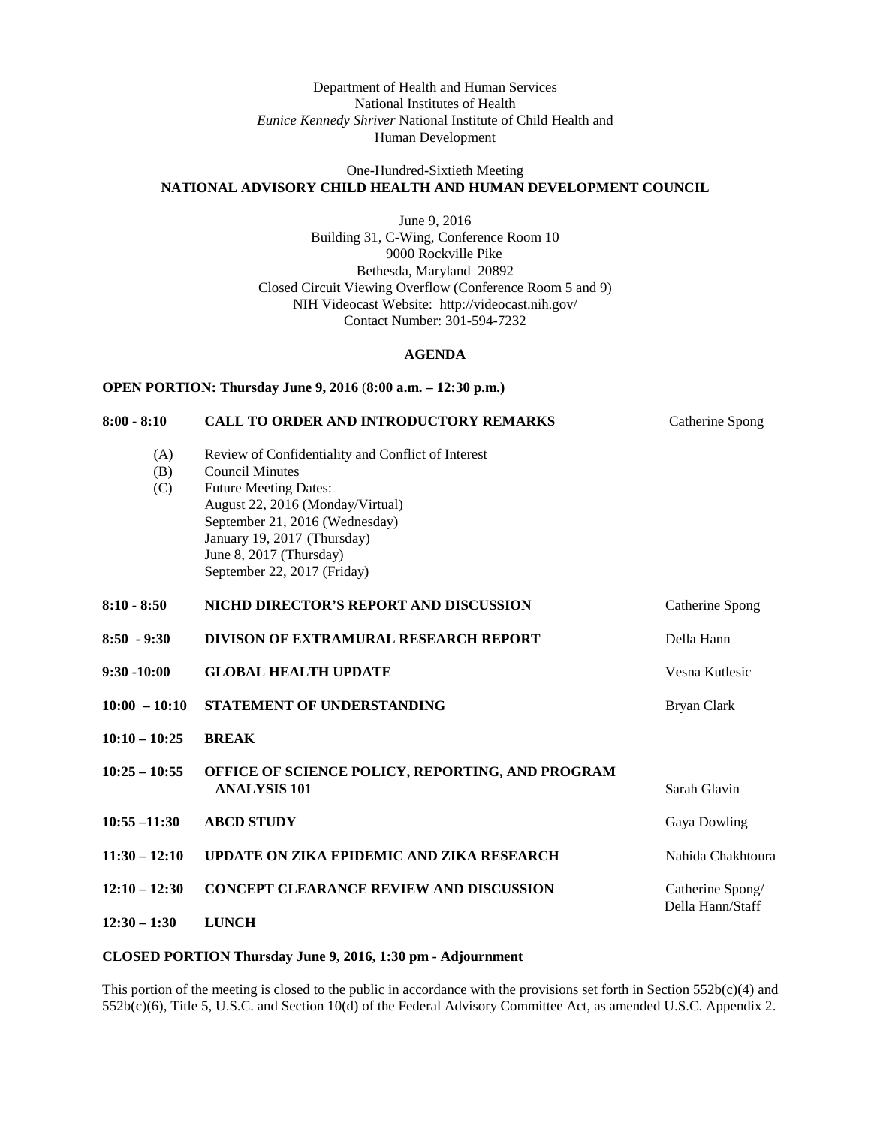## Department of Health and Human Services National Institutes of Health *Eunice Kennedy Shriver* National Institute of Child Health and Human Development

### One-Hundred-Sixtieth Meeting **NATIONAL ADVISORY CHILD HEALTH AND HUMAN DEVELOPMENT COUNCIL**

June 9, 2016 Building 31, C-Wing, Conference Room 10 9000 Rockville Pike Bethesda, Maryland 20892 Closed Circuit Viewing Overflow (Conference Room 5 and 9) NIH Videocast Website: <http://videocast.nih.gov/> Contact Number: 301-594-7232

# **AGENDA**

| OPEN PORTION: Thursday June 9, 2016 (8:00 a.m. - 12:30 p.m.) |                                                                                                                                                                                                                                                                             |                                      |
|--------------------------------------------------------------|-----------------------------------------------------------------------------------------------------------------------------------------------------------------------------------------------------------------------------------------------------------------------------|--------------------------------------|
| $8:00 - 8:10$                                                | <b>CALL TO ORDER AND INTRODUCTORY REMARKS</b>                                                                                                                                                                                                                               | Catherine Spong                      |
| (A)<br>(B)<br>(C)                                            | Review of Confidentiality and Conflict of Interest<br><b>Council Minutes</b><br><b>Future Meeting Dates:</b><br>August 22, 2016 (Monday/Virtual)<br>September 21, 2016 (Wednesday)<br>January 19, 2017 (Thursday)<br>June 8, 2017 (Thursday)<br>September 22, 2017 (Friday) |                                      |
| $8:10 - 8:50$                                                | NICHD DIRECTOR'S REPORT AND DISCUSSION                                                                                                                                                                                                                                      | Catherine Spong                      |
| $8:50 - 9:30$                                                | <b>DIVISON OF EXTRAMURAL RESEARCH REPORT</b>                                                                                                                                                                                                                                | Della Hann                           |
| $9:30 - 10:00$                                               | <b>GLOBAL HEALTH UPDATE</b>                                                                                                                                                                                                                                                 | Vesna Kutlesic                       |
| $10:00 - 10:10$                                              | STATEMENT OF UNDERSTANDING                                                                                                                                                                                                                                                  | <b>Bryan Clark</b>                   |
| $10:10 - 10:25$                                              | <b>BREAK</b>                                                                                                                                                                                                                                                                |                                      |
| $10:25 - 10:55$                                              | OFFICE OF SCIENCE POLICY, REPORTING, AND PROGRAM<br><b>ANALYSIS 101</b>                                                                                                                                                                                                     | Sarah Glavin                         |
| $10:55 - 11:30$                                              | <b>ABCD STUDY</b>                                                                                                                                                                                                                                                           | Gaya Dowling                         |
| $11:30 - 12:10$                                              | UPDATE ON ZIKA EPIDEMIC AND ZIKA RESEARCH                                                                                                                                                                                                                                   | Nahida Chakhtoura                    |
| $12:10 - 12:30$                                              | <b>CONCEPT CLEARANCE REVIEW AND DISCUSSION</b>                                                                                                                                                                                                                              | Catherine Spong/<br>Della Hann/Staff |
| $12:30 - 1:30$                                               | <b>LUNCH</b>                                                                                                                                                                                                                                                                |                                      |

### **CLOSED PORTION Thursday June 9, 2016, 1:30 pm - Adjournment**

This portion of the meeting is closed to the public in accordance with the provisions set forth in Section 552b(c)(4) and 552b(c)(6), Title 5, U.S.C. and Section 10(d) of the Federal Advisory Committee Act, as amended U.S.C. Appendix 2.